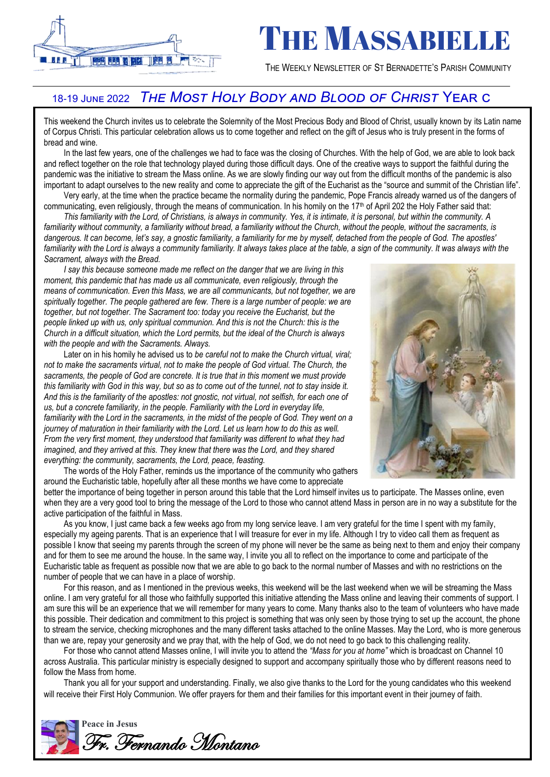

# THE MASSABIEL

THE WEEKLY NEWSLETTER OF ST BERNADETTE'S PARISH COMMUNITY

# 18-19 June 2022 *The Most Holy Body and Blood of Christ* Year c

This weekend the Church invites us to celebrate the Solemnity of the Most Precious Body and Blood of Christ, usually known by its Latin name of Corpus Christi. This particular celebration allows us to come together and reflect on the gift of Jesus who is truly present in the forms of bread and wine.

In the last few years, one of the challenges we had to face was the closing of Churches. With the help of God, we are able to look back and reflect together on the role that technology played during those difficult days. One of the creative ways to support the faithful during the pandemic was the initiative to stream the Mass online. As we are slowly finding our way out from the difficult months of the pandemic is also important to adapt ourselves to the new reality and come to appreciate the gift of the Eucharist as the "source and summit of the Christian life".

Very early, at the time when the practice became the normality during the pandemic, Pope Francis already warned us of the dangers of communicating, even religiously, through the means of communication. In his homily on the 17<sup>th</sup> of April 202 the Holy Father said that:

*This familiarity with the Lord, of Christians, is always in community. Yes, it is intimate, it is personal, but within the community. A familiarity without community, a familiarity without bread, a familiarity without the Church, without the people, without the sacraments, is dangerous. It can become, let's say, a gnostic familiarity, a familiarity for me by myself, detached from the people of God. The apostles' familiarity with the Lord is always a community familiarity. It always takes place at the table, a sign of the community. It was always with the Sacrament, always with the Bread.*

*I say this because someone made me reflect on the danger that we are living in this moment, this pandemic that has made us all communicate, even religiously, through the means of communication. Even this Mass, we are all communicants, but not together, we are spiritually together. The people gathered are few. There is a large number of people: we are together, but not together. The Sacrament too: today you receive the Eucharist, but the people linked up with us, only spiritual communion. And this is not the Church: this is the Church in a difficult situation, which the Lord permits, but the ideal of the Church is always with the people and with the Sacraments. Always.*

Later on in his homily he advised us to *be careful not to make the Church virtual, viral; not to make the sacraments virtual, not to make the people of God virtual. The Church, the sacraments, the people of God are concrete. It is true that in this moment we must provide this familiarity with God in this way, but so as to come out of the tunnel, not to stay inside it. And this is the familiarity of the apostles: not gnostic, not virtual, not selfish, for each one of us, but a concrete familiarity, in the people. Familiarity with the Lord in everyday life,*  familiarity with the Lord in the sacraments, in the midst of the people of God. They went on a *journey of maturation in their familiarity with the Lord. Let us learn how to do this as well. From the very first moment, they understood that familiarity was different to what they had imagined, and they arrived at this. They knew that there was the Lord, and they shared everything: the community, sacraments, the Lord, peace, feasting.*



The words of the Holy Father, reminds us the importance of the community who gathers around the Eucharistic table, hopefully after all these months we have come to appreciate

better the importance of being together in person around this table that the Lord himself invites us to participate. The Masses online, even when they are a very good tool to bring the message of the Lord to those who cannot attend Mass in person are in no way a substitute for the active participation of the faithful in Mass.

As you know, I just came back a few weeks ago from my long service leave. I am very grateful for the time I spent with my family, especially my ageing parents. That is an experience that I will treasure for ever in my life. Although I try to video call them as frequent as possible I know that seeing my parents through the screen of my phone will never be the same as being next to them and enjoy their company and for them to see me around the house. In the same way, I invite you all to reflect on the importance to come and participate of the Eucharistic table as frequent as possible now that we are able to go back to the normal number of Masses and with no restrictions on the number of people that we can have in a place of worship.

For this reason, and as I mentioned in the previous weeks, this weekend will be the last weekend when we will be streaming the Mass online. I am very grateful for all those who faithfully supported this initiative attending the Mass online and leaving their comments of support. I am sure this will be an experience that we will remember for many years to come. Many thanks also to the team of volunteers who have made this possible. Their dedication and commitment to this project is something that was only seen by those trying to set up the account, the phone to stream the service, checking microphones and the many different tasks attached to the online Masses. May the Lord, who is more generous than we are, repay your generosity and we pray that, with the help of God, we do not need to go back to this challenging reality.

For those who cannot attend Masses online, I will invite you to attend the *"Mass for you at home"* which is broadcast on Channel 10 across Australia. This particular ministry is especially designed to support and accompany spiritually those who by different reasons need to follow the Mass from home.

Thank you all for your support and understanding. Finally, we also give thanks to the Lord for the young candidates who this weekend will receive their First Holy Communion. We offer prayers for them and their families for this important event in their journey of faith.

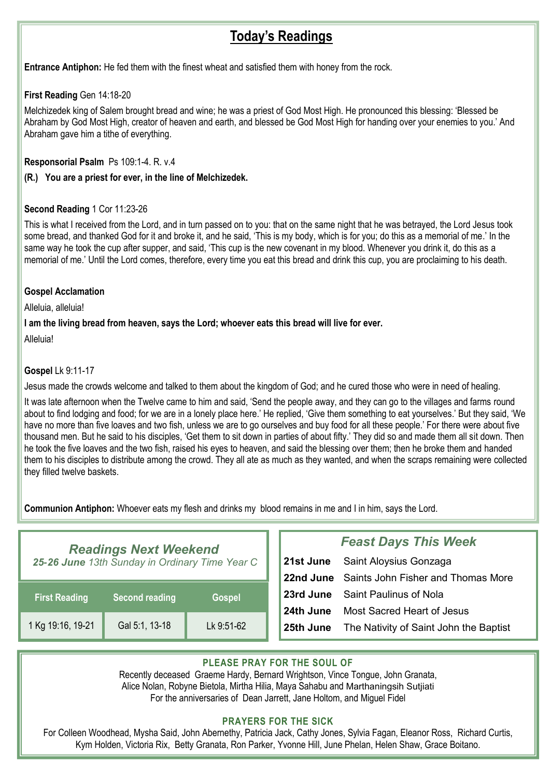# **Today's Readings**

**Entrance Antiphon:** He fed them with the finest wheat and satisfied them with honey from the rock.

#### **First Reading** Gen 14:18-20

Melchizedek king of Salem brought bread and wine; he was a priest of God Most High. He pronounced this blessing: 'Blessed be Abraham by God Most High, creator of heaven and earth, and blessed be God Most High for handing over your enemies to you.' And Abraham gave him a tithe of everything.

**Responsorial Psalm** Ps 109:1-4. R. v.4

**(R.) You are a priest for ever, in the line of Melchizedek.**

#### **Second Reading** 1 Cor 11:23-26

This is what I received from the Lord, and in turn passed on to you: that on the same night that he was betrayed, the Lord Jesus took some bread, and thanked God for it and broke it, and he said, 'This is my body, which is for you; do this as a memorial of me.' In the same way he took the cup after supper, and said, 'This cup is the new covenant in my blood. Whenever you drink it, do this as a memorial of me.' Until the Lord comes, therefore, every time you eat this bread and drink this cup, you are proclaiming to his death.

#### **Gospel Acclamation**

Alleluia, alleluia!

#### **I am the living bread from heaven, says the Lord; whoever eats this bread will live for ever.**

Alleluia!

#### **Gospel** Lk 9:11-17

Jesus made the crowds welcome and talked to them about the kingdom of God; and he cured those who were in need of healing.

It was late afternoon when the Twelve came to him and said, 'Send the people away, and they can go to the villages and farms round about to find lodging and food; for we are in a lonely place here.' He replied, 'Give them something to eat yourselves.' But they said, 'We have no more than five loaves and two fish, unless we are to go ourselves and buy food for all these people.' For there were about five thousand men. But he said to his disciples, 'Get them to sit down in parties of about fifty.' They did so and made them all sit down. Then he took the five loaves and the two fish, raised his eyes to heaven, and said the blessing over them; then he broke them and handed them to his disciples to distribute among the crowd. They all ate as much as they wanted, and when the scraps remaining were collected they filled twelve baskets.

**Communion Antiphon:** Whoever eats my flesh and drinks my blood remains in me and I in him, says the Lord.

| <b>Feast Days This Week</b>                  |  |  |
|----------------------------------------------|--|--|
| Saint Aloysius Gonzaga                       |  |  |
| 22nd June Saints John Fisher and Thomas More |  |  |
| Saint Paulinus of Nola                       |  |  |
| Most Sacred Heart of Jesus                   |  |  |
| The Nativity of Saint John the Baptist       |  |  |
|                                              |  |  |

### **PLEASE PRAY FOR THE SOUL OF**

Recently deceased Graeme Hardy, Bernard Wrightson, Vince Tongue, John Granata, Alice Nolan, Robyne Bietola, Mirtha Hilia, Maya Sahabu and Marthaningsih Sutjiati For the anniversaries of Dean Jarrett, Jane Holtom, and Miguel Fidel

#### **PRAYERS FOR THE SICK**

For Colleen Woodhead, Mysha Said, John Abernethy, Patricia Jack, Cathy Jones, Sylvia Fagan, Eleanor Ross, Richard Curtis, Kym Holden, Victoria Rix, Betty Granata, Ron Parker, Yvonne Hill, June Phelan, Helen Shaw, Grace Boitano.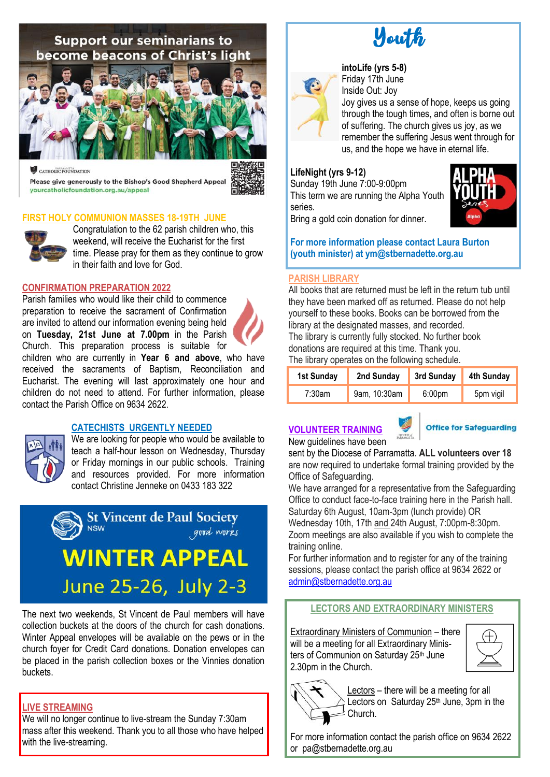## **Support our seminarians to** become beacons of Christ's light



CATHOLIC FOUNDATION Please give generously to the Bishop's Good Shepherd Appeal yourcatholicfoundation.org.au/appeal

#### **FIRST HOLY COMMUNION MASSES 18-19TH JUNE**



Congratulation to the 62 parish children who, this weekend, will receive the Eucharist for the first time. Please pray for them as they continue to grow in their faith and love for God.

#### **CONFIRMATION PREPARATION 2022**

Parish families who would like their child to commence preparation to receive the sacrament of Confirmation are invited to attend our information evening being held on **Tuesday, 21st June at 7.00pm** in the Parish Church. This preparation process is suitable for





### **CATECHISTS URGENTLY NEEDED**

We are looking for people who would be available to teach a half-hour lesson on Wednesday, Thursday or Friday mornings in our public schools. Training and resources provided. For more information contact Christine Jenneke on 0433 183 322



The next two weekends, St Vincent de Paul members will have collection buckets at the doors of the church for cash donations. Winter Appeal envelopes will be available on the pews or in the church foyer for Credit Card donations. Donation envelopes can be placed in the parish collection boxes or the Vinnies donation buckets.

### **LIVE STREAMING**

We will no longer continue to live-stream the Sunday 7:30am mass after this weekend. Thank you to all those who have helped with the live-streaming.





**intoLife (yrs 5-8)** Friday 17th June Inside Out: Joy

Joy gives us a sense of hope, keeps us going through the tough times, and often is borne out of suffering. The church gives us joy, as we remember the suffering Jesus went through for us, and the hope we have in eternal life.

#### **LifeNight (yrs 9-12)**

Sunday 19th June 7:00-9:00pm This term we are running the Alpha Youth series.

Bring a gold coin donation for dinner.



**For more information please contact Laura Burton (youth minister) at ym@stbernadette.org.au**

#### **PARISH LIBRARY**

All books that are returned must be left in the return tub until they have been marked off as returned. Please do not help yourself to these books. Books can be borrowed from the library at the designated masses, and recorded. The library is currently fully stocked. No further book donations are required at this time. Thank you. The library operates on the following schedule.

| <b>1st Sunday</b> | 2nd Sunday   | 3rd Sunday         | 4th Sunday |  |
|-------------------|--------------|--------------------|------------|--|
| 7:30am            | 9am, 10:30am | 6:00 <sub>pm</sub> | 5pm vigil  |  |

### **VOLUNTEER TRAINING**

**Office for Safeguarding** 

New guidelines have been sent by the Diocese of Parramatta. **ALL volunteers over 18**  are now required to undertake formal training provided by the Office of Safeguarding.

We have arranged for a representative from the Safeguarding Office to conduct face-to-face training here in the Parish hall. Saturday 6th August, 10am-3pm (lunch provide) OR Wednesday 10th, 17th and 24th August, 7:00pm-8:30pm.

Zoom meetings are also available if you wish to complete the training online.

For further information and to register for any of the training sessions, please contact the parish office at 9634 2622 or admin@stbernadette.org.au

#### **LECTORS AND EXTRAORDINARY MINISTERS**

Extraordinary Ministers of Communion – there will be a meeting for all Extraordinary Ministers of Communion on Saturday 25<sup>th</sup> June 2.30pm in the Church.





Lectors – there will be a meeting for all Lectors on Saturday 25th June, 3pm in the  $\stackrel{1}{\Rightarrow}$  Church.

For more information contact the parish office on 9634 2622 or pa@stbernadette.org.au